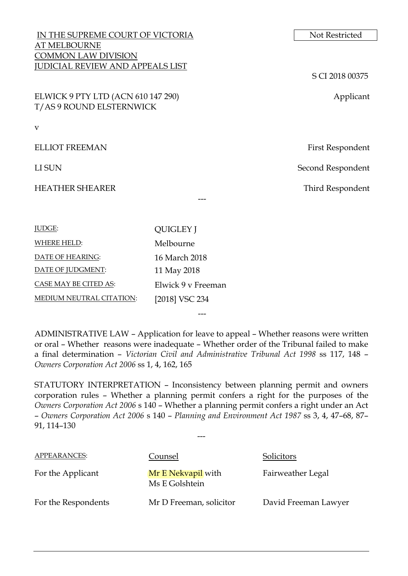| IN THE SUPREME COURT OF VICTORIA        |                  | Not Restricted    |  |
|-----------------------------------------|------------------|-------------------|--|
| <b>AT MELBOURNE</b>                     |                  |                   |  |
| <b>COMMON LAW DIVISION</b>              |                  |                   |  |
| <b>JUDICIAL REVIEW AND APPEALS LIST</b> |                  |                   |  |
|                                         |                  | S CI 2018 00375   |  |
| ELWICK 9 PTY LTD (ACN 610 147 290)      |                  | Applicant         |  |
| T/AS 9 ROUND ELSTERNWICK                |                  |                   |  |
| $\mathbf{V}$                            |                  |                   |  |
|                                         |                  |                   |  |
| <b>ELLIOT FREEMAN</b>                   |                  | First Respondent  |  |
| LI SUN                                  |                  | Second Respondent |  |
|                                         |                  |                   |  |
| <b>HEATHER SHEARER</b>                  |                  | Third Respondent  |  |
|                                         |                  |                   |  |
|                                         |                  |                   |  |
| JUDGE:                                  | <b>QUIGLEY J</b> |                   |  |
| <b>WHERE HELD:</b>                      | Melbourne        |                   |  |

ADMINISTRATIVE LAW – Application for leave to appeal – Whether reasons were written or oral – Whether reasons were inadequate – Whether order of the Tribunal failed to make a final determination – *Victorian Civil and Administrative Tribunal Act 1998* ss 117, 148 – *Owners Corporation Act 2006* ss 1, 4, 162, 165

---

DATE OF HEARING: 16 March 2018 DATE OF JUDGMENT: 11 May 2018

MEDIUM NEUTRAL CITATION: [2018] VSC 234

CASE MAY BE CITED AS: Elwick 9 v Freeman

STATUTORY INTERPRETATION – Inconsistency between planning permit and owners corporation rules – Whether a planning permit confers a right for the purposes of the *Owners Corporation Act 2006* s 140 – Whether a planning permit confers a right under an Act – *Owners Corporation Act 2006* s 140 – *Planning and Environment Act 1987* ss 3, 4, 47–68, 87– 91, 114–130

---

| APPEARANCES:        | Counsel                              | Solicitors           |
|---------------------|--------------------------------------|----------------------|
| For the Applicant   | Mr E Nekvapil with<br>Ms E Golshtein | Fairweather Legal    |
| For the Respondents | Mr D Freeman, solicitor              | David Freeman Lawyer |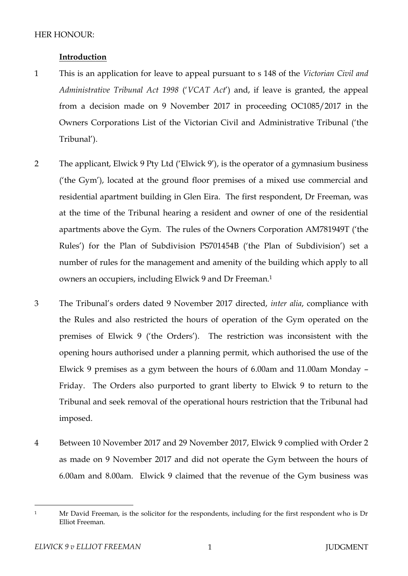### HER HONOUR<sup>.</sup>

### **Introduction**

- 1 This is an application for leave to appeal pursuant to s 148 of the *Victorian Civil and Administrative Tribunal Act 1998* ('*VCAT Act*') and, if leave is granted, the appeal from a decision made on 9 November 2017 in proceeding OC1085/2017 in the Owners Corporations List of the Victorian Civil and Administrative Tribunal ('the Tribunal').
- 2 The applicant, Elwick 9 Pty Ltd ('Elwick 9'), is the operator of a gymnasium business ('the Gym'), located at the ground floor premises of a mixed use commercial and residential apartment building in Glen Eira. The first respondent, Dr Freeman, was at the time of the Tribunal hearing a resident and owner of one of the residential apartments above the Gym. The rules of the Owners Corporation AM781949T ('the Rules') for the Plan of Subdivision PS701454B ('the Plan of Subdivision') set a number of rules for the management and amenity of the building which apply to all owners an occupiers, including Elwick 9 and Dr Freeman.<sup>1</sup>
- 3 The Tribunal's orders dated 9 November 2017 directed, *inter alia*, compliance with the Rules and also restricted the hours of operation of the Gym operated on the premises of Elwick 9 ('the Orders'). The restriction was inconsistent with the opening hours authorised under a planning permit, which authorised the use of the Elwick 9 premises as a gym between the hours of 6.00am and 11.00am Monday – Friday. The Orders also purported to grant liberty to Elwick 9 to return to the Tribunal and seek removal of the operational hours restriction that the Tribunal had imposed.
- 4 Between 10 November 2017 and 29 November 2017, Elwick 9 complied with Order 2 as made on 9 November 2017 and did not operate the Gym between the hours of 6.00am and 8.00am. Elwick 9 claimed that the revenue of the Gym business was

 $\overline{a}$ <sup>1</sup> Mr David Freeman, is the solicitor for the respondents, including for the first respondent who is Dr Elliot Freeman.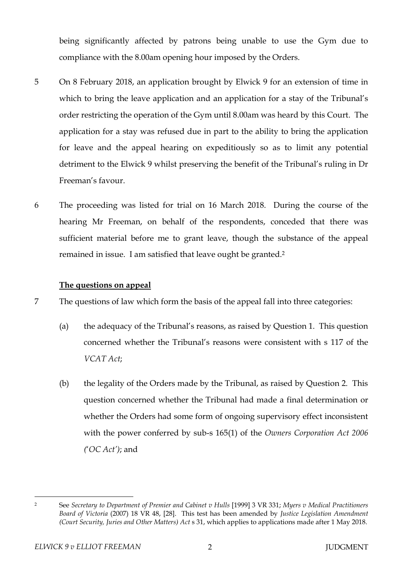being significantly affected by patrons being unable to use the Gym due to compliance with the 8.00am opening hour imposed by the Orders.

- 5 On 8 February 2018, an application brought by Elwick 9 for an extension of time in which to bring the leave application and an application for a stay of the Tribunal's order restricting the operation of the Gym until 8.00am was heard by this Court. The application for a stay was refused due in part to the ability to bring the application for leave and the appeal hearing on expeditiously so as to limit any potential detriment to the Elwick 9 whilst preserving the benefit of the Tribunal's ruling in Dr Freeman's favour.
- 6 The proceeding was listed for trial on 16 March 2018. During the course of the hearing Mr Freeman, on behalf of the respondents, conceded that there was sufficient material before me to grant leave, though the substance of the appeal remained in issue. I am satisfied that leave ought be granted. 2

## **The questions on appeal**

7 The questions of law which form the basis of the appeal fall into three categories:

- (a) the adequacy of the Tribunal's reasons, as raised by Question 1. This question concerned whether the Tribunal's reasons were consistent with s 117 of the *VCAT Act*;
- (b) the legality of the Orders made by the Tribunal, as raised by Question 2. This question concerned whether the Tribunal had made a final determination or whether the Orders had some form of ongoing supervisory effect inconsistent with the power conferred by sub-s 165(1) of the *Owners Corporation Act 2006 (*'*OC Act')*; and

 $\overline{a}$ <sup>2</sup> See *Secretary to Department of Premier and Cabinet v Hulls* [1999] 3 VR 331; *Myers v Medical Practitioners Board of Victoria* (2007) 18 VR 48, [28]. This test has been amended by *Justice Legislation Amendment (Court Security, Juries and Other Matters) Act s 31, which applies to applications made after 1 May 2018.*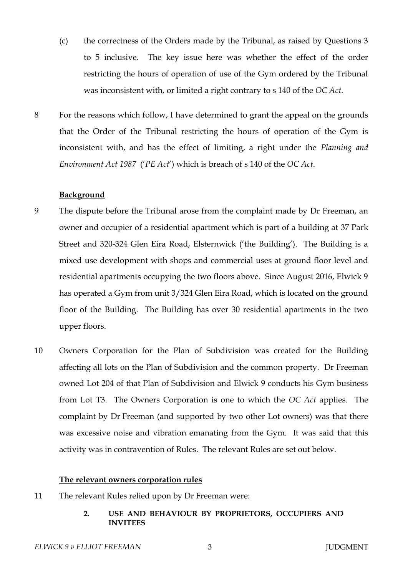- (c) the correctness of the Orders made by the Tribunal, as raised by Questions 3 to 5 inclusive. The key issue here was whether the effect of the order restricting the hours of operation of use of the Gym ordered by the Tribunal was inconsistent with, or limited a right contrary to s 140 of the *OC Act*.
- 8 For the reasons which follow, I have determined to grant the appeal on the grounds that the Order of the Tribunal restricting the hours of operation of the Gym is inconsistent with, and has the effect of limiting, a right under the *Planning and Environment Act 1987* ('*PE Act*') which is breach of s 140 of the *OC Act*.

### **Background**

- 9 The dispute before the Tribunal arose from the complaint made by Dr Freeman, an owner and occupier of a residential apartment which is part of a building at 37 Park Street and 320-324 Glen Eira Road, Elsternwick ('the Building'). The Building is a mixed use development with shops and commercial uses at ground floor level and residential apartments occupying the two floors above. Since August 2016, Elwick 9 has operated a Gym from unit 3/324 Glen Eira Road, which is located on the ground floor of the Building. The Building has over 30 residential apartments in the two upper floors.
- 10 Owners Corporation for the Plan of Subdivision was created for the Building affecting all lots on the Plan of Subdivision and the common property. Dr Freeman owned Lot 204 of that Plan of Subdivision and Elwick 9 conducts his Gym business from Lot T3. The Owners Corporation is one to which the *OC Act* applies. The complaint by Dr Freeman (and supported by two other Lot owners) was that there was excessive noise and vibration emanating from the Gym. It was said that this activity was in contravention of Rules. The relevant Rules are set out below.

### **The relevant owners corporation rules**

- 11 The relevant Rules relied upon by Dr Freeman were:
	- **2. USE AND BEHAVIOUR BY PROPRIETORS, OCCUPIERS AND INVITEES**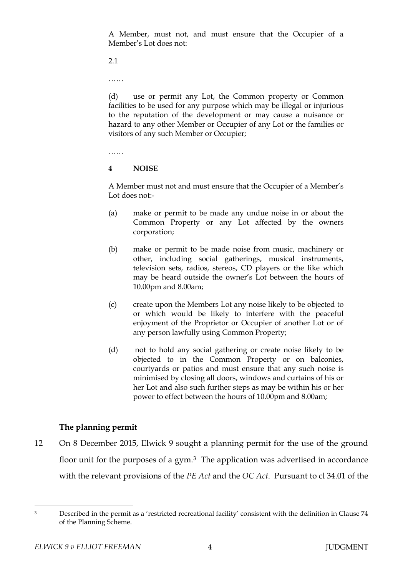A Member, must not, and must ensure that the Occupier of a Member's Lot does not:

2.1

…<br>……

(d) use or permit any Lot, the Common property or Common facilities to be used for any purpose which may be illegal or injurious to the reputation of the development or may cause a nuisance or hazard to any other Member or Occupier of any Lot or the families or visitors of any such Member or Occupier;

……

### **4 NOISE**

A Member must not and must ensure that the Occupier of a Member's Lot does not:-

- (a) make or permit to be made any undue noise in or about the Common Property or any Lot affected by the owners corporation;
- (b) make or permit to be made noise from music, machinery or other, including social gatherings, musical instruments, television sets, radios, stereos, CD players or the like which may be heard outside the owner's Lot between the hours of 10.00pm and 8.00am;
- (c) create upon the Members Lot any noise likely to be objected to or which would be likely to interfere with the peaceful enjoyment of the Proprietor or Occupier of another Lot or of any person lawfully using Common Property;
- (d) not to hold any social gathering or create noise likely to be objected to in the Common Property or on balconies, courtyards or patios and must ensure that any such noise is minimised by closing all doors, windows and curtains of his or her Lot and also such further steps as may be within his or her power to effect between the hours of 10.00pm and 8.00am;

## **The planning permit**

12 On 8 December 2015, Elwick 9 sought a planning permit for the use of the ground floor unit for the purposes of a gym. $3$  The application was advertised in accordance with the relevant provisions of the *PE Act* and the *OC Act*. Pursuant to cl 34.01 of the

 $\overline{a}$ 

<sup>&</sup>lt;sup>3</sup> Described in the permit as a 'restricted recreational facility' consistent with the definition in Clause 74 of the Planning Scheme.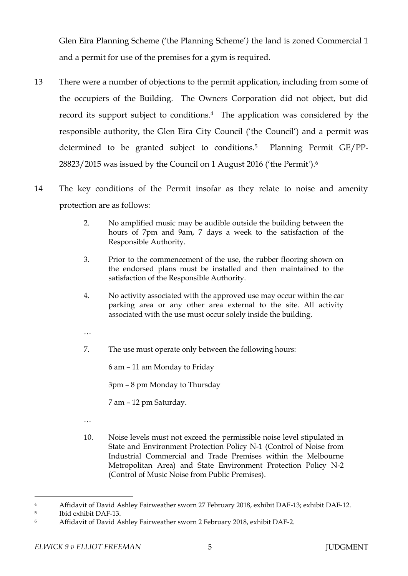Glen Eira Planning Scheme ('the Planning Scheme'*)* the land is zoned Commercial 1 and a permit for use of the premises for a gym is required.

- 13 There were a number of objections to the permit application, including from some of the occupiers of the Building. The Owners Corporation did not object, but did record its support subject to conditions.4 The application was considered by the responsible authority, the Glen Eira City Council ('the Council') and a permit was determined to be granted subject to conditions.5 Planning Permit GE/PP-28823/2015 was issued by the Council on 1 August 2016 ('the Permit*'*).<sup>6</sup>
- 14 The key conditions of the Permit insofar as they relate to noise and amenity protection are as follows:
	- 2. No amplified music may be audible outside the building between the hours of 7pm and 9am, 7 days a week to the satisfaction of the Responsible Authority.
	- 3. Prior to the commencement of the use, the rubber flooring shown on the endorsed plans must be installed and then maintained to the satisfaction of the Responsible Authority.
	- 4. No activity associated with the approved use may occur within the car parking area or any other area external to the site. All activity associated with the use must occur solely inside the building.
	- …
	- 7. The use must operate only between the following hours:

6 am – 11 am Monday to Friday

3pm – 8 pm Monday to Thursday

7 am – 12 pm Saturday.

…

10. Noise levels must not exceed the permissible noise level stipulated in State and Environment Protection Policy N-1 (Control of Noise from Industrial Commercial and Trade Premises within the Melbourne Metropolitan Area) and State Environment Protection Policy N-2 (Control of Music Noise from Public Premises).

 $\overline{a}$ <sup>4</sup> Affidavit of David Ashley Fairweather sworn 27 February 2018, exhibit DAF-13; exhibit DAF-12.

<sup>5</sup> Ibid exhibit DAF-13.

<sup>6</sup> Affidavit of David Ashley Fairweather sworn 2 February 2018, exhibit DAF-2.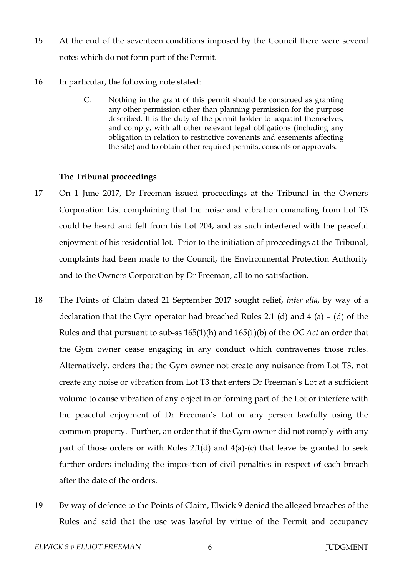- 15 At the end of the seventeen conditions imposed by the Council there were several notes which do not form part of the Permit.
- 16 In particular, the following note stated:
	- C. Nothing in the grant of this permit should be construed as granting any other permission other than planning permission for the purpose described. It is the duty of the permit holder to acquaint themselves, and comply, with all other relevant legal obligations (including any obligation in relation to restrictive covenants and easements affecting the site) and to obtain other required permits, consents or approvals.

### **The Tribunal proceedings**

- 17 On 1 June 2017, Dr Freeman issued proceedings at the Tribunal in the Owners Corporation List complaining that the noise and vibration emanating from Lot T3 could be heard and felt from his Lot 204, and as such interfered with the peaceful enjoyment of his residential lot. Prior to the initiation of proceedings at the Tribunal, complaints had been made to the Council, the Environmental Protection Authority and to the Owners Corporation by Dr Freeman, all to no satisfaction.
- 18 The Points of Claim dated 21 September 2017 sought relief, *inter alia*, by way of a declaration that the Gym operator had breached Rules 2.1 (d) and 4 (a) – (d) of the Rules and that pursuant to sub-ss 165(1)(h) and 165(1)(b) of the *OC Act* an order that the Gym owner cease engaging in any conduct which contravenes those rules. Alternatively, orders that the Gym owner not create any nuisance from Lot T3, not create any noise or vibration from Lot T3 that enters Dr Freeman's Lot at a sufficient volume to cause vibration of any object in or forming part of the Lot or interfere with the peaceful enjoyment of Dr Freeman's Lot or any person lawfully using the common property. Further, an order that if the Gym owner did not comply with any part of those orders or with Rules 2.1(d) and 4(a)-(c) that leave be granted to seek further orders including the imposition of civil penalties in respect of each breach after the date of the orders.
- 19 By way of defence to the Points of Claim, Elwick 9 denied the alleged breaches of the Rules and said that the use was lawful by virtue of the Permit and occupancy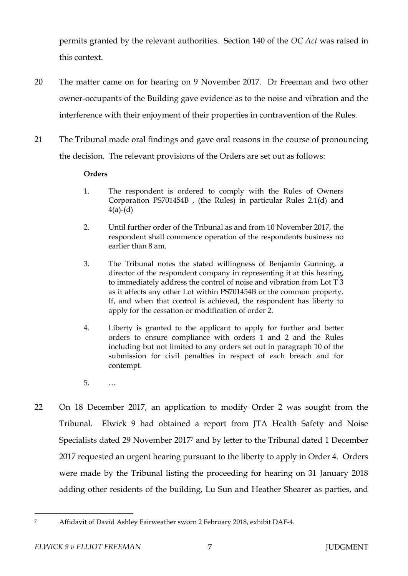permits granted by the relevant authorities. Section 140 of the *OC Act* was raised in this context.

- 20 The matter came on for hearing on 9 November 2017. Dr Freeman and two other owner-occupants of the Building gave evidence as to the noise and vibration and the interference with their enjoyment of their properties in contravention of the Rules.
- 21 The Tribunal made oral findings and gave oral reasons in the course of pronouncing the decision. The relevant provisions of the Orders are set out as follows:

## **Orders**

- 1. The respondent is ordered to comply with the Rules of Owners Corporation PS701454B , (the Rules) in particular Rules 2.1(d) and  $4(a)-(d)$
- 2. Until further order of the Tribunal as and from 10 November 2017, the respondent shall commence operation of the respondents business no earlier than 8 am.
- 3. The Tribunal notes the stated willingness of Benjamin Gunning, a director of the respondent company in representing it at this hearing, to immediately address the control of noise and vibration from Lot T 3 as it affects any other Lot within PS701454B or the common property. If, and when that control is achieved, the respondent has liberty to apply for the cessation or modification of order 2.
- 4. Liberty is granted to the applicant to apply for further and better orders to ensure compliance with orders 1 and 2 and the Rules including but not limited to any orders set out in paragraph 10 of the submission for civil penalties in respect of each breach and for contempt.
- 5. …
- 22 On 18 December 2017, an application to modify Order 2 was sought from the Tribunal. Elwick 9 had obtained a report from JTA Health Safety and Noise Specialists dated 29 November 2017<sup>7</sup> and by letter to the Tribunal dated 1 December 2017 requested an urgent hearing pursuant to the liberty to apply in Order 4. Orders were made by the Tribunal listing the proceeding for hearing on 31 January 2018 adding other residents of the building, Lu Sun and Heather Shearer as parties, and

 $\overline{a}$ 

<sup>7</sup> Affidavit of David Ashley Fairweather sworn 2 February 2018, exhibit DAF-4.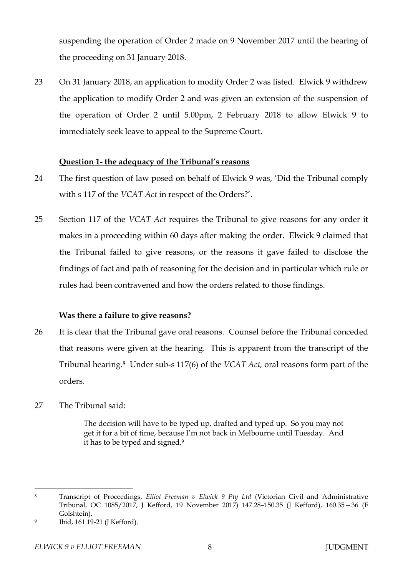suspending the operation of Order 2 made on 9 November 2017 until the hearing of the proceeding on 31 January 2018.

23 On 31 January 2018, an application to modify Order 2 was listed. Elwick 9 withdrew the application to modify Order 2 and was given an extension of the suspension of the operation of Order 2 until 5.00pm, 2 February 2018 to allow Elwick 9 to immediately seek leave to appeal to the Supreme Court.

## **Question 1- the adequacy of the Tribunal's reasons**

- 24 The first question of law posed on behalf of Elwick 9 was, 'Did the Tribunal comply with s 117 of the *VCAT Act* in respect of the Orders?'.
- 25 Section 117 of the *VCAT Act* requires the Tribunal to give reasons for any order it makes in a proceeding within 60 days after making the order. Elwick 9 claimed that the Tribunal failed to give reasons, or the reasons it gave failed to disclose the findings of fact and path of reasoning for the decision and in particular which rule or rules had been contravened and how the orders related to those findings.

### **Was there a failure to give reasons?**

- 26 It is clear that the Tribunal gave oral reasons. Counsel before the Tribunal conceded that reasons were given at the hearing. This is apparent from the transcript of the Tribunal hearing.8 Under sub-s 117(6) of the *VCAT Act,* oral reasons form part of the orders.
- 27 The Tribunal said:

The decision will have to be typed up, drafted and typed up. So you may not get it for a bit of time, because I'm not back in Melbourne until Tuesday. And it has to be typed and signed.<sup>9</sup>

 $\overline{a}$ <sup>8</sup> Transcript of Proceedings, *Elliot Freeman v Elwick 9 Pty Ltd* (Victorian Civil and Administrative Tribunal, OC 1085/2017, J Kefford, 19 November 2017) 147.28–150.35 (J Kefford), 160.35—36 (E Golshtein).

 $\overline{Q}$ Ibid, 161.19-21 (J Kefford).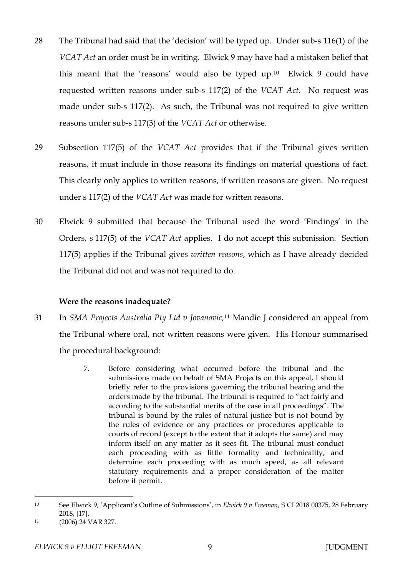- 28 The Tribunal had said that the 'decision' will be typed up. Under sub-s 116(1) of the *VCAT Act* an order must be in writing. Elwick 9 may have had a mistaken belief that this meant that the 'reasons' would also be typed up.10 Elwick 9 could have requested written reasons under sub-s 117(2) of the *VCAT Act.* No request was made under sub-s 117(2). As such, the Tribunal was not required to give written reasons under sub-s 117(3) of the *VCAT Act* or otherwise.
- 29 Subsection 117(5) of the *VCAT Act* provides that if the Tribunal gives written reasons, it must include in those reasons its findings on material questions of fact. This clearly only applies to written reasons, if written reasons are given. No request under s 117(2) of the *VCAT Act* was made for written reasons.
- 30 Elwick 9 submitted that because the Tribunal used the word 'Findings' in the Orders, s 117(5) of the *VCAT Act* applies. I do not accept this submission. Section 117(5) applies if the Tribunal gives *written reasons*, which as I have already decided the Tribunal did not and was not required to do.

## **Were the reasons inadequate?**

- 31 In *SMA Projects Australia Pty Ltd v Jovanovic,*<sup>11</sup> Mandie J considered an appeal from the Tribunal where oral, not written reasons were given. His Honour summarised the procedural background:
	- 7. Before considering what occurred before the tribunal and the submissions made on behalf of SMA Projects on this appeal, I should briefly refer to the provisions governing the tribunal hearing and the orders made by the tribunal. The tribunal is required to "act fairly and according to the substantial merits of the case in all proceedings". The tribunal is bound by the rules of natural justice but is not bound by the rules of evidence or any practices or procedures applicable to courts of record (except to the extent that it adopts the same) and may inform itself on any matter as it sees fit. The tribunal must conduct each proceeding with as little formality and technicality, and determine each proceeding with as much speed, as all relevant statutory requirements and a proper consideration of the matter before it permit.

 $\overline{a}$ <sup>10</sup> See Elwick 9, 'Applicant's Outline of Submissions', in *Elwick 9 v Freeman,* S CI 2018 00375, 28 February 2018, [17].

<sup>11</sup> (2006) 24 VAR 327.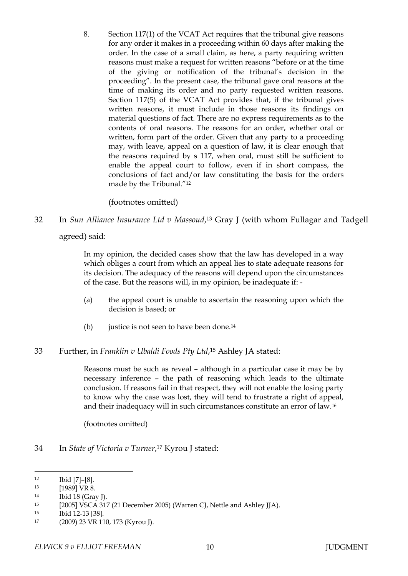8. Section 117(1) of the VCAT Act requires that the tribunal give reasons for any order it makes in a proceeding within 60 days after making the order. In the case of a small claim, as here, a party requiring written reasons must make a request for written reasons "before or at the time of the giving or notification of the tribunal's decision in the proceeding". In the present case, the tribunal gave oral reasons at the time of making its order and no party requested written reasons. Section 117(5) of the VCAT Act provides that, if the tribunal gives written reasons, it must include in those reasons its findings on material questions of fact. There are no express requirements as to the contents of oral reasons. The reasons for an order, whether oral or written, form part of the order. Given that any party to a proceeding may, with leave, appeal on a question of law, it is clear enough that the reasons required by s 117, when oral, must still be sufficient to enable the appeal court to follow, even if in short compass, the conclusions of fact and/or law constituting the basis for the orders made by the Tribunal."<sup>12</sup>

(footnotes omitted)

32 In *Sun Alliance Insurance Ltd v Massoud*, <sup>13</sup> Gray J (with whom Fullagar and Tadgell

agreed) said:

In my opinion, the decided cases show that the law has developed in a way which obliges a court from which an appeal lies to state adequate reasons for its decision. The adequacy of the reasons will depend upon the circumstances of the case. But the reasons will, in my opinion, be inadequate if: -

- (a) the appeal court is unable to ascertain the reasoning upon which the decision is based; or
- (b) justice is not seen to have been done.<sup>14</sup>

## 33 Further, in *Franklin v Ubaldi Foods Pty Ltd*, <sup>15</sup> Ashley JA stated:

Reasons must be such as reveal – although in a particular case it may be by necessary inference – the path of reasoning which leads to the ultimate conclusion. If reasons fail in that respect, they will not enable the losing party to know why the case was lost, they will tend to frustrate a right of appeal, and their inadequacy will in such circumstances constitute an error of law.<sup>16</sup>

(footnotes omitted)

34 In *State of Victoria v Turner*, <sup>17</sup> Kyrou J stated:

<sup>12</sup> Ibid [7]–[8].

<sup>13 [1989]</sup> VR 8.

<sup>14</sup> Ibid 18 (Gray J).

<sup>15</sup> [2005] VSCA 317 (21 December 2005) (Warren CJ, Nettle and Ashley JJA).

<sup>16</sup> Ibid 12-13 [38].

<sup>17</sup> (2009) 23 VR 110, 173 (Kyrou J).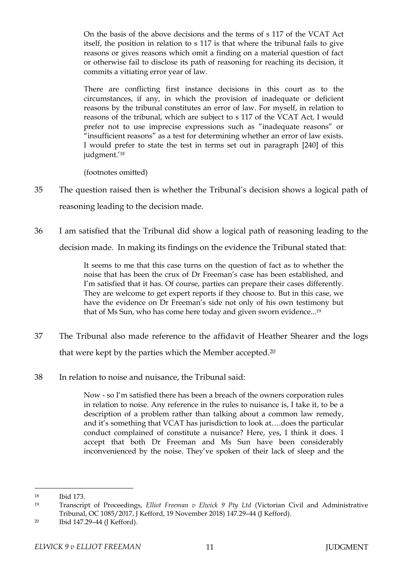On the basis of the above decisions and the terms of s 117 of the VCAT Act itself, the position in relation to s 117 is that where the tribunal fails to give reasons or gives reasons which omit a finding on a material question of fact or otherwise fail to disclose its path of reasoning for reaching its decision, it commits a vitiating error year of law.

There are conflicting first instance decisions in this court as to the circumstances, if any, in which the provision of inadequate or deficient reasons by the tribunal constitutes an error of law. For myself, in relation to reasons of the tribunal, which are subject to s 117 of the VCAT Act, I would prefer not to use imprecise expressions such as "inadequate reasons" or "insufficient reasons" as a test for determining whether an error of law exists. I would prefer to state the test in terms set out in paragraph [240] of this judgment.'<sup>18</sup>

(footnotes omitted)

- 35 The question raised then is whether the Tribunal's decision shows a logical path of reasoning leading to the decision made.
- 36 I am satisfied that the Tribunal did show a logical path of reasoning leading to the decision made. In making its findings on the evidence the Tribunal stated that:

It seems to me that this case turns on the question of fact as to whether the noise that has been the crux of Dr Freeman's case has been established, and I'm satisfied that it has. Of course, parties can prepare their cases differently. They are welcome to get expert reports if they choose to. But in this case, we have the evidence on Dr Freeman's side not only of his own testimony but that of Ms Sun, who has come here today and given sworn evidence... 19

- 37 The Tribunal also made reference to the affidavit of Heather Shearer and the logs that were kept by the parties which the Member accepted.<sup>20</sup>
- 38 In relation to noise and nuisance, the Tribunal said:

Now - so I'm satisfied there has been a breach of the owners corporation rules in relation to noise. Any reference in the rules to nuisance is, I take it, to be a description of a problem rather than talking about a common law remedy, and it's something that VCAT has jurisdiction to look at….does the particular conduct complained of constitute a nuisance? Here, yes, I think it does. I accept that both Dr Freeman and Ms Sun have been considerably inconvenienced by the noise. They've spoken of their lack of sleep and the

 $\overline{a}$ <sup>18</sup> Ibid 173.

<sup>19</sup> Transcript of Proceedings, *Elliot Freeman v Elwick 9 Pty Ltd* (Victorian Civil and Administrative Tribunal, OC 1085/2017, J Kefford, 19 November 2018) 147.29–44 (J Kefford).

<sup>20</sup> Ibid 147.29–44 (J Kefford).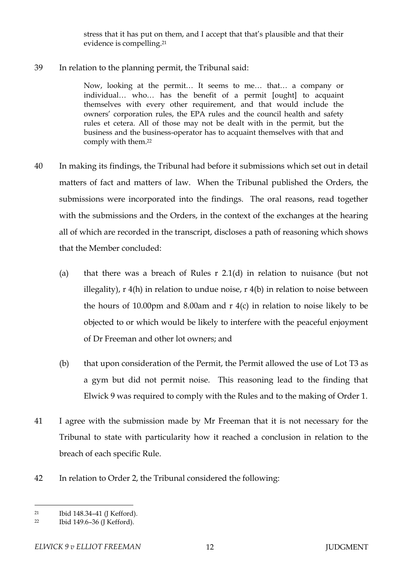stress that it has put on them, and I accept that that's plausible and that their evidence is compelling.<sup>21</sup>

39 In relation to the planning permit, the Tribunal said:

Now, looking at the permit… It seems to me… that… a company or individual… who… has the benefit of a permit [ought] to acquaint themselves with every other requirement, and that would include the owners' corporation rules, the EPA rules and the council health and safety rules et cetera. All of those may not be dealt with in the permit, but the business and the business-operator has to acquaint themselves with that and comply with them. 22

- 40 In making its findings, the Tribunal had before it submissions which set out in detail matters of fact and matters of law. When the Tribunal published the Orders, the submissions were incorporated into the findings. The oral reasons, read together with the submissions and the Orders, in the context of the exchanges at the hearing all of which are recorded in the transcript, discloses a path of reasoning which shows that the Member concluded:
	- (a) that there was a breach of Rules r 2.1(d) in relation to nuisance (but not illegality), r 4(h) in relation to undue noise, r 4(b) in relation to noise between the hours of 10.00pm and 8.00am and  $r$  4(c) in relation to noise likely to be objected to or which would be likely to interfere with the peaceful enjoyment of Dr Freeman and other lot owners; and
	- (b) that upon consideration of the Permit, the Permit allowed the use of Lot T3 as a gym but did not permit noise. This reasoning lead to the finding that Elwick 9 was required to comply with the Rules and to the making of Order 1.
- 41 I agree with the submission made by Mr Freeman that it is not necessary for the Tribunal to state with particularity how it reached a conclusion in relation to the breach of each specific Rule.
- 42 In relation to Order 2, the Tribunal considered the following:

 $\overline{a}$ <sup>21</sup> Ibid 148.34–41 (J Kefford).

<sup>22</sup> Ibid 149.6–36 (J Kefford).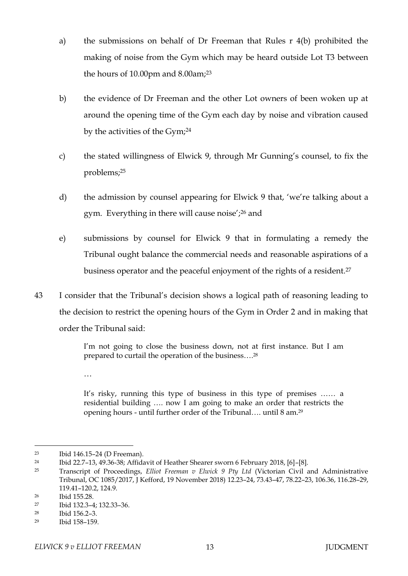- a) the submissions on behalf of Dr Freeman that Rules r 4(b) prohibited the making of noise from the Gym which may be heard outside Lot T3 between the hours of 10.00pm and 8.00am;<sup>23</sup>
- b) the evidence of Dr Freeman and the other Lot owners of been woken up at around the opening time of the Gym each day by noise and vibration caused by the activities of the Gym;<sup>24</sup>
- c) the stated willingness of Elwick 9, through Mr Gunning's counsel, to fix the problems;<sup>25</sup>
- d) the admission by counsel appearing for Elwick 9 that, 'we're talking about a gym. Everything in there will cause noise';<sup>26</sup> and
- e) submissions by counsel for Elwick 9 that in formulating a remedy the Tribunal ought balance the commercial needs and reasonable aspirations of a business operator and the peaceful enjoyment of the rights of a resident.<sup>27</sup>
- 43 I consider that the Tribunal's decision shows a logical path of reasoning leading to the decision to restrict the opening hours of the Gym in Order 2 and in making that order the Tribunal said:

I'm not going to close the business down, not at first instance. But I am prepared to curtail the operation of the business…. 28

…

It's risky, running this type of business in this type of premises …… a residential building …. now I am going to make an order that restricts the opening hours - until further order of the Tribunal…. until 8 am.<sup>29</sup>

<sup>23</sup> Ibid 146.15–24 (D Freeman).

<sup>24</sup> Ibid 22.7–13, 49.36-38; Affidavit of Heather Shearer sworn 6 February 2018, [6]–[8].

<sup>25</sup> Transcript of Proceedings, *Elliot Freeman v Elwick 9 Pty Ltd* (Victorian Civil and Administrative Tribunal, OC 1085/2017, J Kefford, 19 November 2018) 12.23–24, 73.43–47, 78.22–23, 106.36, 116.28–29, 119.41–120.2, 124.9.

<sup>26</sup> Ibid 155.28.

<sup>27</sup> Ibid 132.3–4; 132.33–36.

<sup>28</sup> Ibid 156.2–3.

<sup>29</sup> Ibid 158–159.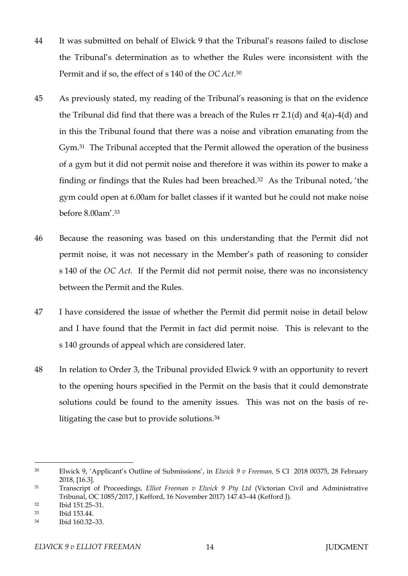- 44 It was submitted on behalf of Elwick 9 that the Tribunal's reasons failed to disclose the Tribunal's determination as to whether the Rules were inconsistent with the Permit and if so, the effect of s 140 of the *OC Act*. 30
- 45 As previously stated, my reading of the Tribunal's reasoning is that on the evidence the Tribunal did find that there was a breach of the Rules rr 2.1(d) and 4(a)-4(d) and in this the Tribunal found that there was a noise and vibration emanating from the Gym.31 The Tribunal accepted that the Permit allowed the operation of the business of a gym but it did not permit noise and therefore it was within its power to make a finding or findings that the Rules had been breached.<sup>32</sup> As the Tribunal noted, 'the gym could open at 6.00am for ballet classes if it wanted but he could not make noise before 8.00am'.<sup>33</sup>
- 46 Because the reasoning was based on this understanding that the Permit did not permit noise, it was not necessary in the Member's path of reasoning to consider s 140 of the *OC Act*. If the Permit did not permit noise, there was no inconsistency between the Permit and the Rules.
- 47 I have considered the issue of whether the Permit did permit noise in detail below and I have found that the Permit in fact did permit noise. This is relevant to the s 140 grounds of appeal which are considered later.
- 48 In relation to Order 3, the Tribunal provided Elwick 9 with an opportunity to revert to the opening hours specified in the Permit on the basis that it could demonstrate solutions could be found to the amenity issues. This was not on the basis of relitigating the case but to provide solutions.<sup>34</sup>

<sup>30</sup> Elwick 9, 'Applicant's Outline of Submissions', in *Elwick 9 v Freeman,* S CI 2018 00375, 28 February 2018, [16.3].

<sup>31</sup> Transcript of Proceedings, *Elliot Freeman v Elwick 9 Pty Ltd* (Victorian Civil and Administrative Tribunal, OC 1085/2017, J Kefford, 16 November 2017) 147.43–44 (Kefford J).

<sup>32</sup> Ibid 151.25–31.

<sup>33</sup> Ibid 153.44.

<sup>34</sup> Ibid 160.32–33.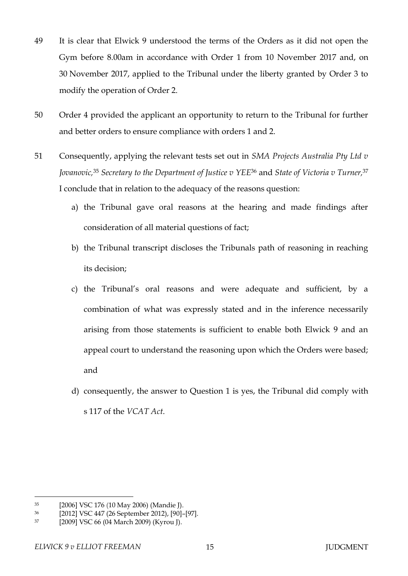- 49 It is clear that Elwick 9 understood the terms of the Orders as it did not open the Gym before 8.00am in accordance with Order 1 from 10 November 2017 and, on 30 November 2017, applied to the Tribunal under the liberty granted by Order 3 to modify the operation of Order 2.
- 50 Order 4 provided the applicant an opportunity to return to the Tribunal for further and better orders to ensure compliance with orders 1 and 2.
- 51 Consequently, applying the relevant tests set out in *SMA Projects Australia Pty Ltd v Jovanovic,*<sup>35</sup> *Secretary to the Department of Justice v YEE*<sup>36</sup> and *State of Victoria v Turner,*<sup>37</sup> I conclude that in relation to the adequacy of the reasons question:
	- a) the Tribunal gave oral reasons at the hearing and made findings after consideration of all material questions of fact;
	- b) the Tribunal transcript discloses the Tribunals path of reasoning in reaching its decision;
	- c) the Tribunal's oral reasons and were adequate and sufficient, by a combination of what was expressly stated and in the inference necessarily arising from those statements is sufficient to enable both Elwick 9 and an appeal court to understand the reasoning upon which the Orders were based; and
	- d) consequently, the answer to Question 1 is yes, the Tribunal did comply with s 117 of the *VCAT Act*.

<sup>35</sup> [2006] VSC 176 (10 May 2006) (Mandie J).

<sup>36</sup> [2012] VSC 447 (26 September 2012), [90]–[97].

<sup>37</sup> [2009] VSC 66 (04 March 2009) (Kyrou J).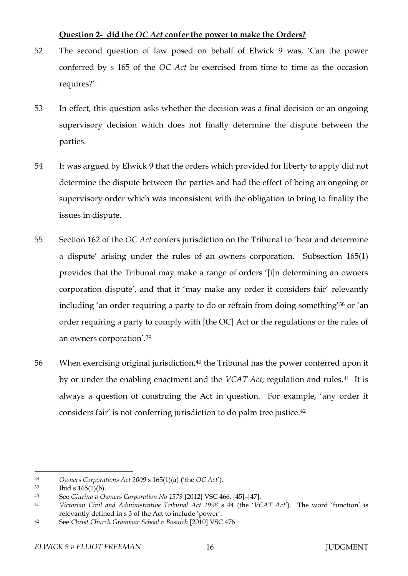# **Question 2- did the** *OC Act* **confer the power to make the Orders?**

- 52 The second question of law posed on behalf of Elwick 9 was, 'Can the power conferred by s 165 of the *OC Act* be exercised from time to time as the occasion requires?'.
- 53 In effect, this question asks whether the decision was a final decision or an ongoing supervisory decision which does not finally determine the dispute between the parties.
- 54 It was argued by Elwick 9 that the orders which provided for liberty to apply did not determine the dispute between the parties and had the effect of being an ongoing or supervisory order which was inconsistent with the obligation to bring to finality the issues in dispute.
- 55 Section 162 of the *OC Act* confers jurisdiction on the Tribunal to 'hear and determine a dispute' arising under the rules of an owners corporation. Subsection 165(1) provides that the Tribunal may make a range of orders '[i]n determining an owners corporation dispute', and that it 'may make any order it considers fair' relevantly including 'an order requiring a party to do or refrain from doing something'<sup>38</sup> or 'an order requiring a party to comply with [the OC] Act or the regulations or the rules of an owners corporation'.<sup>39</sup>
- 56 When exercising original jurisdiction,<sup>40</sup> the Tribunal has the power conferred upon it by or under the enabling enactment and the *VCAT Act*, regulation and rules.41 It is always a question of construing the Act in question. For example, 'any order it considers fair' is not conferring jurisdiction to do palm tree justice.<sup>42</sup>

<sup>38</sup> *Owners Corporations Act 2009* s 165(1)(a) ('the *OC Act*').

 $39$  Ibid s  $165(1)(b)$ .

<sup>40</sup> See *Giurina v Owners Corporation No 1579* [2012] VSC 466, [45]–[47].

<sup>41</sup> *Victorian Civil and Administrative Tribunal Act 1998* s 44 (the '*VCAT Act*'). The word 'function' is relevantly defined in s 3 of the Act to include 'power'.

<sup>42</sup> See *Christ Church Grammar School v Bosnich* [2010] VSC 476.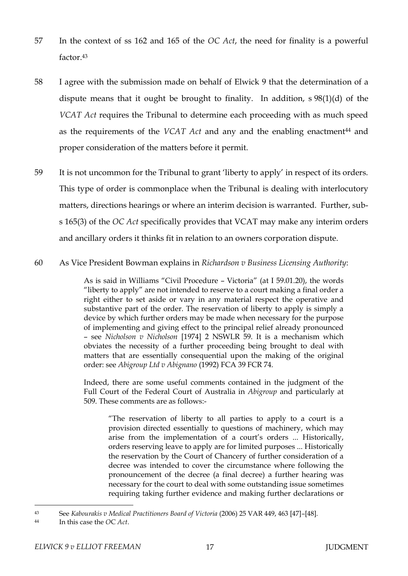- 57 In the context of ss 162 and 165 of the *OC Act*, the need for finality is a powerful factor 43
- 58 I agree with the submission made on behalf of Elwick 9 that the determination of a dispute means that it ought be brought to finality. In addition, s 98(1)(d) of the *VCAT Act* requires the Tribunal to determine each proceeding with as much speed as the requirements of the *VCAT Act* and any and the enabling enactment<sup>44</sup> and proper consideration of the matters before it permit.
- 59 It is not uncommon for the Tribunal to grant 'liberty to apply' in respect of its orders. This type of order is commonplace when the Tribunal is dealing with interlocutory matters, directions hearings or where an interim decision is warranted. Further, subs 165(3) of the *OC Act* specifically provides that VCAT may make any interim orders and ancillary orders it thinks fit in relation to an owners corporation dispute.

### 60 As Vice President Bowman explains in *Richardson v Business Licensing Authority*:

As is said in Williams "Civil Procedure – Victoria" (at I 59.01.20), the words "liberty to apply" are not intended to reserve to a court making a final order a right either to set aside or vary in any material respect the operative and substantive part of the order. The reservation of liberty to apply is simply a device by which further orders may be made when necessary for the purpose of implementing and giving effect to the principal relief already pronounced – see *Nicholson v Nicholson* [1974] 2 NSWLR 59. It is a mechanism which obviates the necessity of a further proceeding being brought to deal with matters that are essentially consequential upon the making of the original order: see *Abigroup Ltd v Abignano* (1992) FCA 39 FCR 74.

Indeed, there are some useful comments contained in the judgment of the Full Court of the Federal Court of Australia in *Abigroup* and particularly at 509. These comments are as follows:-

"The reservation of liberty to all parties to apply to a court is a provision directed essentially to questions of machinery, which may arise from the implementation of a court's orders ... Historically, orders reserving leave to apply are for limited purposes ... Historically the reservation by the Court of Chancery of further consideration of a decree was intended to cover the circumstance where following the pronouncement of the decree (a final decree) a further hearing was necessary for the court to deal with some outstanding issue sometimes requiring taking further evidence and making further declarations or

<sup>43</sup> See *Kabourakis v Medical Practitioners Board of Victoria* (2006) 25 VAR 449, 463 [47]–[48].

<sup>44</sup> In this case the *O*C *Act*.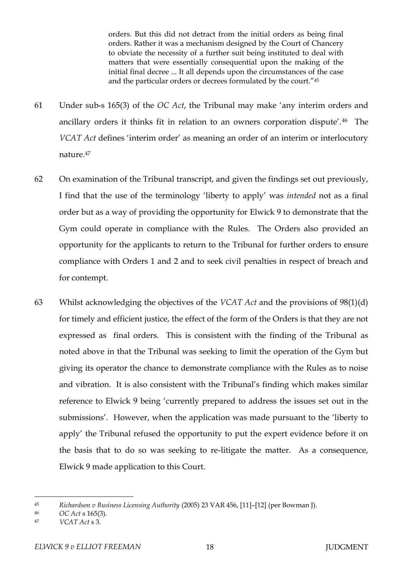orders. But this did not detract from the initial orders as being final orders. Rather it was a mechanism designed by the Court of Chancery to obviate the necessity of a further suit being instituted to deal with matters that were essentially consequential upon the making of the initial final decree ... It all depends upon the circumstances of the case and the particular orders or decrees formulated by the court."<sup>45</sup>

- 61 Under sub-s 165(3) of the *OC Act*, the Tribunal may make 'any interim orders and ancillary orders it thinks fit in relation to an owners corporation dispute'.46 The *VCAT Act* defines 'interim order' as meaning an order of an interim or interlocutory nature.<sup>47</sup>
- 62 On examination of the Tribunal transcript, and given the findings set out previously, I find that the use of the terminology 'liberty to apply' was *intended* not as a final order but as a way of providing the opportunity for Elwick 9 to demonstrate that the Gym could operate in compliance with the Rules. The Orders also provided an opportunity for the applicants to return to the Tribunal for further orders to ensure compliance with Orders 1 and 2 and to seek civil penalties in respect of breach and for contempt.
- 63 Whilst acknowledging the objectives of the *VCAT Act* and the provisions of 98(1)(d) for timely and efficient justice, the effect of the form of the Orders is that they are not expressed as final orders. This is consistent with the finding of the Tribunal as noted above in that the Tribunal was seeking to limit the operation of the Gym but giving its operator the chance to demonstrate compliance with the Rules as to noise and vibration. It is also consistent with the Tribunal's finding which makes similar reference to Elwick 9 being 'currently prepared to address the issues set out in the submissions'. However, when the application was made pursuant to the 'liberty to apply' the Tribunal refused the opportunity to put the expert evidence before it on the basis that to do so was seeking to re-litigate the matter. As a consequence, Elwick 9 made application to this Court.

<sup>45</sup> *Richardson v Business Licensing Authority* (2005) 23 VAR 456, [11]–[12] (per Bowman J).

<sup>46</sup> *OC Act* s 165(3).

<sup>47</sup> *VCAT Act* s 3.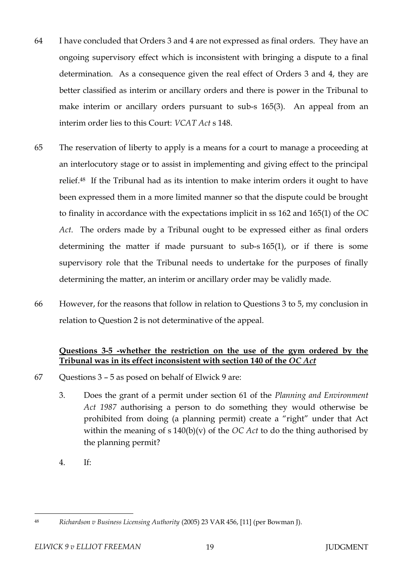- 64 I have concluded that Orders 3 and 4 are not expressed as final orders. They have an ongoing supervisory effect which is inconsistent with bringing a dispute to a final determination. As a consequence given the real effect of Orders 3 and 4, they are better classified as interim or ancillary orders and there is power in the Tribunal to make interim or ancillary orders pursuant to sub-s 165(3). An appeal from an interim order lies to this Court: *VCAT Act* s 148.
- 65 The reservation of liberty to apply is a means for a court to manage a proceeding at an interlocutory stage or to assist in implementing and giving effect to the principal relief.48 If the Tribunal had as its intention to make interim orders it ought to have been expressed them in a more limited manner so that the dispute could be brought to finality in accordance with the expectations implicit in ss 162 and 165(1) of the *OC Act*. The orders made by a Tribunal ought to be expressed either as final orders determining the matter if made pursuant to sub-s 165(1), or if there is some supervisory role that the Tribunal needs to undertake for the purposes of finally determining the matter, an interim or ancillary order may be validly made.
- 66 However, for the reasons that follow in relation to Questions 3 to 5, my conclusion in relation to Question 2 is not determinative of the appeal.

## **Questions 3-5 -whether the restriction on the use of the gym ordered by the Tribunal was in its effect inconsistent with section 140 of the** *OC Act*

- 67 Questions 3 5 as posed on behalf of Elwick 9 are:
	- 3. Does the grant of a permit under section 61 of the *Planning and Environment Act 1987* authorising a person to do something they would otherwise be prohibited from doing (a planning permit) create a "right" under that Act within the meaning of s 140(b)(v) of the *OC Act* to do the thing authorised by the planning permit?
	- 4. If:

 $\overline{a}$ <sup>48</sup> *Richardson v Business Licensing Authority* (2005) 23 VAR 456, [11] (per Bowman J).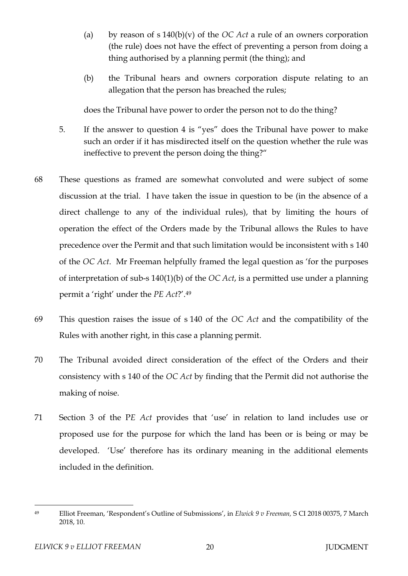- (a) by reason of s 140(b)(v) of the *OC Act* a rule of an owners corporation (the rule) does not have the effect of preventing a person from doing a thing authorised by a planning permit (the thing); and
- (b) the Tribunal hears and owners corporation dispute relating to an allegation that the person has breached the rules;

does the Tribunal have power to order the person not to do the thing?

- 5. If the answer to question 4 is "yes" does the Tribunal have power to make such an order if it has misdirected itself on the question whether the rule was ineffective to prevent the person doing the thing?"
- 68 These questions as framed are somewhat convoluted and were subject of some discussion at the trial. I have taken the issue in question to be (in the absence of a direct challenge to any of the individual rules), that by limiting the hours of operation the effect of the Orders made by the Tribunal allows the Rules to have precedence over the Permit and that such limitation would be inconsistent with s 140 of the *OC Act*. Mr Freeman helpfully framed the legal question as 'for the purposes of interpretation of sub-s 140(1)(b) of the *OC Act*, is a permitted use under a planning permit a 'right' under the *PE Act*?'. 49
- 69 This question raises the issue of s 140 of the *OC Act* and the compatibility of the Rules with another right, in this case a planning permit.
- 70 The Tribunal avoided direct consideration of the effect of the Orders and their consistency with s 140 of the *OC Act* by finding that the Permit did not authorise the making of noise.
- 71 Section 3 of the P*E Act* provides that 'use' in relation to land includes use or proposed use for the purpose for which the land has been or is being or may be developed. 'Use' therefore has its ordinary meaning in the additional elements included in the definition.

 $\overline{a}$ <sup>49</sup> Elliot Freeman, 'Respondent's Outline of Submissions', in *Elwick 9 v Freeman,* S CI 2018 00375, 7 March 2018, 10.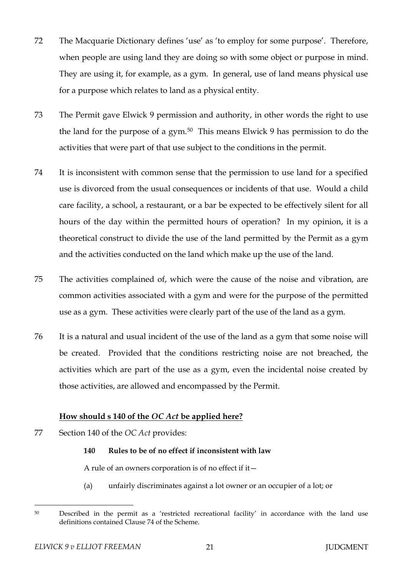- 72 The Macquarie Dictionary defines 'use' as 'to employ for some purpose'. Therefore, when people are using land they are doing so with some object or purpose in mind. They are using it, for example, as a gym. In general, use of land means physical use for a purpose which relates to land as a physical entity.
- 73 The Permit gave Elwick 9 permission and authority, in other words the right to use the land for the purpose of a gym.50 This means Elwick 9 has permission to do the activities that were part of that use subject to the conditions in the permit.
- 74 It is inconsistent with common sense that the permission to use land for a specified use is divorced from the usual consequences or incidents of that use. Would a child care facility, a school, a restaurant, or a bar be expected to be effectively silent for all hours of the day within the permitted hours of operation? In my opinion, it is a theoretical construct to divide the use of the land permitted by the Permit as a gym and the activities conducted on the land which make up the use of the land.
- 75 The activities complained of, which were the cause of the noise and vibration, are common activities associated with a gym and were for the purpose of the permitted use as a gym. These activities were clearly part of the use of the land as a gym.
- 76 It is a natural and usual incident of the use of the land as a gym that some noise will be created. Provided that the conditions restricting noise are not breached, the activities which are part of the use as a gym, even the incidental noise created by those activities, are allowed and encompassed by the Permit.

## **How should s 140 of the** *OC Act* **be applied here?**

77 Section 140 of the *OC Act* provides:

### **140 Rules to be of no effect if inconsistent with law**

A rule of an owners corporation is of no effect if it—

(a) unfairly discriminates against a lot owner or an occupier of a lot; or

<sup>50</sup> Described in the permit as a 'restricted recreational facility' in accordance with the land use definitions contained Clause 74 of the Scheme.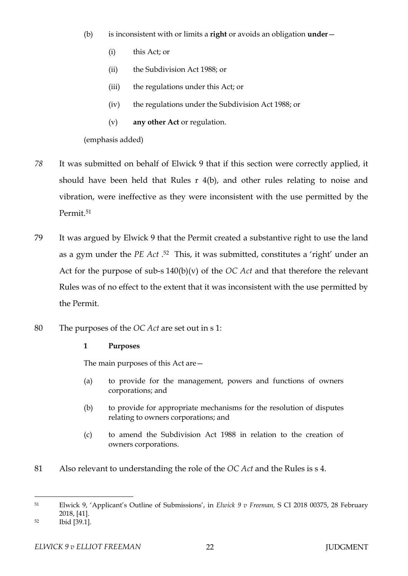- (b) is inconsistent with or limits a **right** or avoids an obligation **under**
	- (i) this Act; or
	- (ii) the Subdivision Act 1988; or
	- (iii) the regulations under this Act; or
	- (iv) the regulations under the Subdivision Act 1988; or
	- (v) **any other Act** or regulation.

(emphasis added)

- *78* It was submitted on behalf of Elwick 9 that if this section were correctly applied, it should have been held that Rules r 4(b), and other rules relating to noise and vibration, were ineffective as they were inconsistent with the use permitted by the Permit.<sup>51</sup>
- 79 It was argued by Elwick 9 that the Permit created a substantive right to use the land as a gym under the *PE Act* . <sup>52</sup> This, it was submitted, constitutes a 'right' under an Act for the purpose of sub-s 140(b)(v) of the *OC Act* and that therefore the relevant Rules was of no effect to the extent that it was inconsistent with the use permitted by the Permit.
- 80 The purposes of the *OC Act* are set out in s 1:

## **1 Purposes**

The main purposes of this Act are—

- (a) to provide for the management, powers and functions of owners corporations; and
- (b) to provide for appropriate mechanisms for the resolution of disputes relating to owners corporations; and
- (c) to amend the Subdivision Act 1988 in relation to the creation of owners corporations.
- 81 Also relevant to understanding the role of the *OC Act* and the Rules is s 4.

 $\overline{a}$ <sup>51</sup> Elwick 9, 'Applicant's Outline of Submissions', in *Elwick 9 v Freeman,* S CI 2018 00375, 28 February 2018, [41].

<sup>52</sup> Ibid [39.1].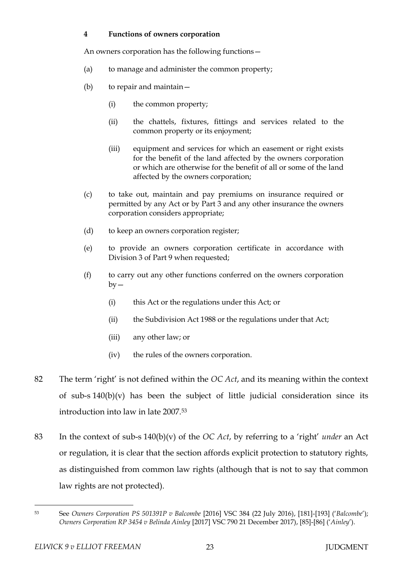### **4 Functions of owners corporation**

An owners corporation has the following functions—

- (a) to manage and administer the common property;
- (b) to repair and maintain—
	- (i) the common property;
	- (ii) the chattels, fixtures, fittings and services related to the common property or its enjoyment;
	- (iii) equipment and services for which an easement or right exists for the benefit of the land affected by the owners corporation or which are otherwise for the benefit of all or some of the land affected by the owners corporation;
- (c) to take out, maintain and pay premiums on insurance required or permitted by any Act or by Part 3 and any other insurance the owners corporation considers appropriate;
- (d) to keep an owners corporation register;
- (e) to provide an owners corporation certificate in accordance with Division 3 of Part 9 when requested;
- (f) to carry out any other functions conferred on the owners corporation  $by -$ 
	- (i) this Act or the regulations under this Act; or
	- (ii) the Subdivision Act 1988 or the regulations under that Act;
	- (iii) any other law; or
	- (iv) the rules of the owners corporation.
- 82 The term 'right' is not defined within the *OC Act*, and its meaning within the context of sub-s 140(b)(v) has been the subject of little judicial consideration since its introduction into law in late 2007.<sup>53</sup>
- 83 In the context of sub-s 140(b)(v) of the *OC Act*, by referring to a 'right' *under* an Act or regulation, it is clear that the section affords explicit protection to statutory rights, as distinguished from common law rights (although that is not to say that common law rights are not protected).

 $\overline{a}$ <sup>53</sup> See *Owners Corporation PS 501391P v Balcombe* [2016] VSC 384 (22 July 2016), [181]-[193] ('*Balcombe*'); *Owners Corporation RP 3454 v Belinda Ainley* [2017] VSC 790 21 December 2017), [85]-[86] ('*Ainley*').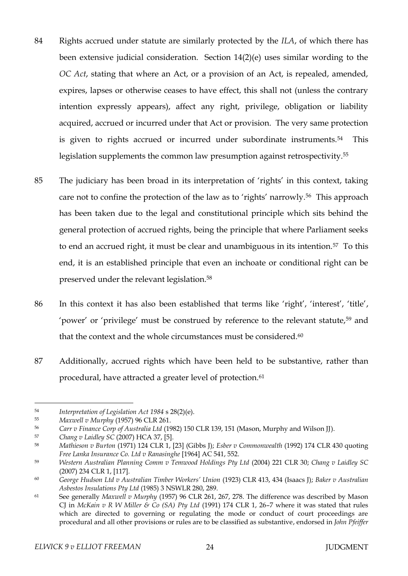- 84 Rights accrued under statute are similarly protected by the *ILA*, of which there has been extensive judicial consideration. Section 14(2)(e) uses similar wording to the *OC Act*, stating that where an Act, or a provision of an Act, is repealed, amended, expires, lapses or otherwise ceases to have effect, this shall not (unless the contrary intention expressly appears), affect any right, privilege, obligation or liability acquired, accrued or incurred under that Act or provision. The very same protection is given to rights accrued or incurred under subordinate instruments.<sup>54</sup> This legislation supplements the common law presumption against retrospectivity.<sup>55</sup>
- 85 The judiciary has been broad in its interpretation of 'rights' in this context, taking care not to confine the protection of the law as to 'rights' narrowly.56 This approach has been taken due to the legal and constitutional principle which sits behind the general protection of accrued rights, being the principle that where Parliament seeks to end an accrued right, it must be clear and unambiguous in its intention.57 To this end, it is an established principle that even an inchoate or conditional right can be preserved under the relevant legislation.<sup>58</sup>
- 86 In this context it has also been established that terms like 'right', 'interest', 'title', 'power' or 'privilege' must be construed by reference to the relevant statute,<sup>59</sup> and that the context and the whole circumstances must be considered.<sup>60</sup>
- 87 Additionally, accrued rights which have been held to be substantive, rather than procedural, have attracted a greater level of protection.<sup>61</sup>

<sup>54</sup> *Interpretation of Legislation Act 1984* s 28(2)(e).

<sup>55</sup> *Maxwell v Murphy* (1957) 96 CLR 261.

<sup>56</sup> *Carr v Finance Corp of Australia Ltd* (1982) 150 CLR 139, 151 (Mason, Murphy and Wilson JJ).

<sup>57</sup> *Chang v Laidley SC* (2007) HCA 37, [5].

<sup>58</sup> *Mathieson v Burton* (1971) 124 CLR 1, [23] (Gibbs J); *Esber v Commonwealth* (1992) 174 CLR 430 quoting *Free Lanka Insurance Co. Ltd v Ranasinghe* [1964] AC 541, 552.

<sup>59</sup> *Western Australian Planning Comm v Temwood Holdings Pty Ltd* (2004) 221 CLR 30; *Chang v Laidley SC* (2007) 234 CLR 1, [117].

<sup>60</sup> *George Hudson Ltd v Australian Timber Workers' Union* (1923) CLR 413, 434 (Isaacs J); *Baker v Australian Asbestos Insulations Pty Ltd* (1985) 3 NSWLR 280, 289.

<sup>61</sup> See generally *Maxwell v Murphy* (1957) 96 CLR 261, 267, 278. The difference was described by Mason CJ in *McKain v R W Miller & Co (SA) Pty Ltd* (1991) 174 CLR 1, 26–7 where it was stated that rules which are directed to governing or regulating the mode or conduct of court proceedings are procedural and all other provisions or rules are to be classified as substantive, endorsed in *John Pfeiffer*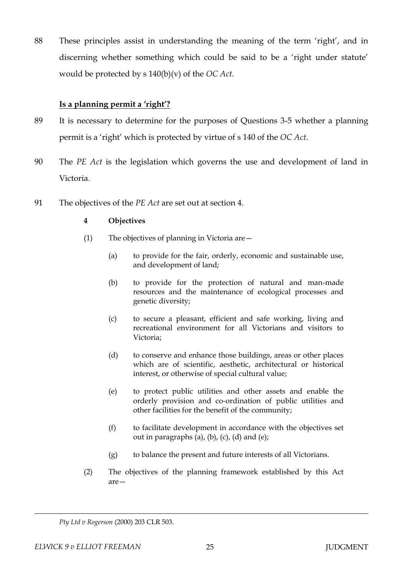88 These principles assist in understanding the meaning of the term 'right', and in discerning whether something which could be said to be a 'right under statute' would be protected by s 140(b)(v) of the *OC Act*.

## **Is a planning permit a 'right'?**

- 89 It is necessary to determine for the purposes of Questions 3-5 whether a planning permit is a 'right' which is protected by virtue of s 140 of the *OC Act*.
- 90 The *PE Act* is the legislation which governs the use and development of land in Victoria.
- 91 The objectives of the *PE Act* are set out at section 4.

## **4 Objectives**

- (1) The objectives of planning in Victoria are—
	- (a) to provide for the fair, orderly, economic and sustainable use, and development of land;
	- (b) to provide for the protection of natural and man-made resources and the maintenance of ecological processes and genetic diversity;
	- (c) to secure a pleasant, efficient and safe working, living and recreational environment for all Victorians and visitors to Victoria;
	- (d) to conserve and enhance those buildings, areas or other places which are of scientific, aesthetic, architectural or historical interest, or otherwise of special cultural value;
	- (e) to protect public utilities and other assets and enable the orderly provision and co-ordination of public utilities and other facilities for the benefit of the community;
	- (f) to facilitate development in accordance with the objectives set out in paragraphs (a), (b), (c), (d) and (e);
	- (g) to balance the present and future interests of all Victorians.
- (2) The objectives of the planning framework established by this Act are—

*Pty Ltd v Rogerson* (2000) 203 CLR 503.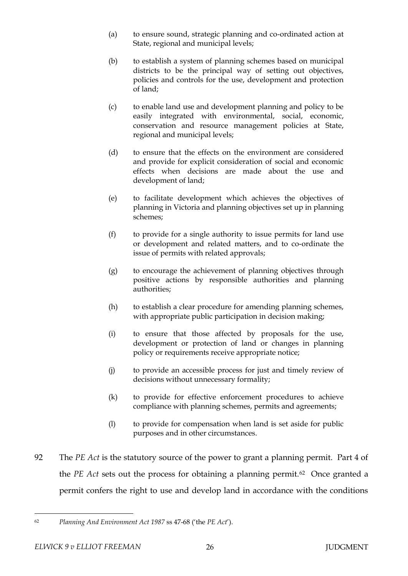- (a) to ensure sound, strategic planning and co-ordinated action at State, regional and municipal levels;
- (b) to establish a system of planning schemes based on municipal districts to be the principal way of setting out objectives, policies and controls for the use, development and protection of land;
- (c) to enable land use and development planning and policy to be easily integrated with environmental, social, economic, conservation and resource management policies at State, regional and municipal levels;
- (d) to ensure that the effects on the environment are considered and provide for explicit consideration of social and economic effects when decisions are made about the use and development of land;
- (e) to facilitate development which achieves the objectives of planning in Victoria and planning objectives set up in planning schemes;
- (f) to provide for a single authority to issue permits for land use or development and related matters, and to co-ordinate the issue of permits with related approvals;
- (g) to encourage the achievement of planning objectives through positive actions by responsible authorities and planning authorities;
- (h) to establish a clear procedure for amending planning schemes, with appropriate public participation in decision making;
- (i) to ensure that those affected by proposals for the use, development or protection of land or changes in planning policy or requirements receive appropriate notice;
- (j) to provide an accessible process for just and timely review of decisions without unnecessary formality;
- (k) to provide for effective enforcement procedures to achieve compliance with planning schemes, permits and agreements;
- (l) to provide for compensation when land is set aside for public purposes and in other circumstances.
- 92 The *PE Act* is the statutory source of the power to grant a planning permit. Part 4 of the *PE Act* sets out the process for obtaining a planning permit.<sup>62</sup> Once granted a permit confers the right to use and develop land in accordance with the conditions

 $\overline{a}$ <sup>62</sup> *Planning And Environment Act 1987* ss 47-68 ('the *PE Act*').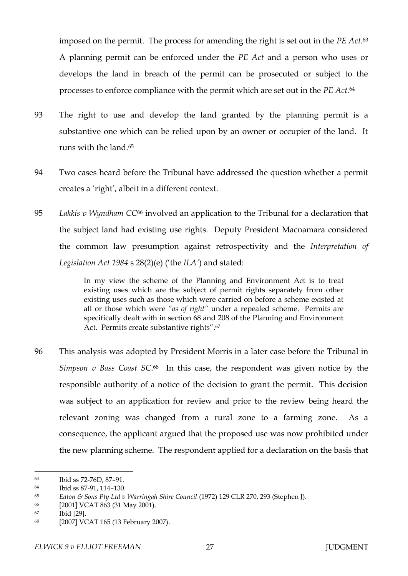imposed on the permit. The process for amending the right is set out in the *PE Act*. 63 A planning permit can be enforced under the *PE Act* and a person who uses or develops the land in breach of the permit can be prosecuted or subject to the processes to enforce compliance with the permit which are set out in the *PE Act*. 64

- 93 The right to use and develop the land granted by the planning permit is a substantive one which can be relied upon by an owner or occupier of the land. It runs with the land.<sup>65</sup>
- 94 Two cases heard before the Tribunal have addressed the question whether a permit creates a 'right', albeit in a different context.
- 95 *Lakkis v Wyndham CC*<sup>66</sup> involved an application to the Tribunal for a declaration that the subject land had existing use rights. Deputy President Macnamara considered the common law presumption against retrospectivity and the *Interpretation of Legislation Act 1984* s 28(2)(e) ('the *ILA'*) and stated:

In my view the scheme of the Planning and Environment Act is to treat existing uses which are the subject of permit rights separately from other existing uses such as those which were carried on before a scheme existed at all or those which were *"as of right"* under a repealed scheme. Permits are specifically dealt with in section 68 and 208 of the Planning and Environment Act. Permits create substantive rights".<sup>67</sup>

96 This analysis was adopted by President Morris in a later case before the Tribunal in *Simpson v Bass Coast SC*. <sup>68</sup> In this case, the respondent was given notice by the responsible authority of a notice of the decision to grant the permit. This decision was subject to an application for review and prior to the review being heard the relevant zoning was changed from a rural zone to a farming zone. As a consequence, the applicant argued that the proposed use was now prohibited under the new planning scheme. The respondent applied for a declaration on the basis that

<sup>63</sup> Ibid ss 72-76D, 87–91.

<sup>64</sup> Ibid ss 87-91, 114–130.

<sup>65</sup> *Eaton & Sons Pty Ltd v Warringah Shire Council* (1972) 129 CLR 270, 293 (Stephen J).

<sup>66</sup> [2001] VCAT 863 (31 May 2001).

<sup>67</sup> Ibid [29].

<sup>68</sup> [2007] VCAT 165 (13 February 2007).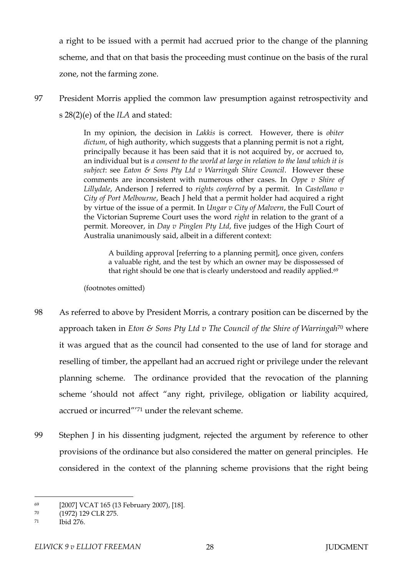a right to be issued with a permit had accrued prior to the change of the planning scheme, and that on that basis the proceeding must continue on the basis of the rural zone, not the farming zone.

97 President Morris applied the common law presumption against retrospectivity and s 28(2)(e) of the *ILA* and stated:

> In my opinion, the decision in *Lakkis* is correct. However, there is *obiter dictum*, of high authority, which suggests that a planning permit is not a right, principally because it has been said that it is not acquired by, or accrued to, an individual but is *a consent to the world at large in relation to the land which it is subject*: see *Eaton & Sons Pty Ltd v Warringah Shire Council*. However these comments are inconsistent with numerous other cases. In *Oppe v Shire of Lillydale*, Anderson J referred to *rights conferred* by a permit. In *Castellano v City of Port Melbourne*, Beach J held that a permit holder had acquired a right by virtue of the issue of a permit. In *Ungar v City of Malvern*, the Full Court of the Victorian Supreme Court uses the word *right* in relation to the grant of a permit. Moreover, in *Day v Pinglen Pty Ltd*, five judges of the High Court of Australia unanimously said, albeit in a different context:

A building approval [referring to a planning permit], once given, confers a valuable right, and the test by which an owner may be dispossessed of that right should be one that is clearly understood and readily applied.<sup>69</sup>

(footnotes omitted)

- 98 As referred to above by President Morris, a contrary position can be discerned by the approach taken in *Eton & Sons Pty Ltd v The Council of the Shire of Warringah*<sup>70</sup> where it was argued that as the council had consented to the use of land for storage and reselling of timber, the appellant had an accrued right or privilege under the relevant planning scheme. The ordinance provided that the revocation of the planning scheme 'should not affect "any right, privilege, obligation or liability acquired, accrued or incurred"' <sup>71</sup> under the relevant scheme.
- 99 Stephen J in his dissenting judgment, rejected the argument by reference to other provisions of the ordinance but also considered the matter on general principles. He considered in the context of the planning scheme provisions that the right being

<sup>69</sup> [2007] VCAT 165 (13 February 2007), [18].

<sup>70</sup> (1972) 129 CLR 275.

<sup>71</sup> Ibid 276.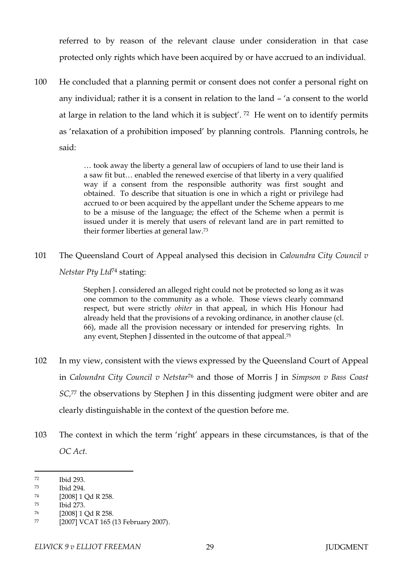referred to by reason of the relevant clause under consideration in that case protected only rights which have been acquired by or have accrued to an individual.

100 He concluded that a planning permit or consent does not confer a personal right on any individual; rather it is a consent in relation to the land – 'a consent to the world at large in relation to the land which it is subject'. <sup>72</sup> He went on to identify permits as 'relaxation of a prohibition imposed' by planning controls. Planning controls, he said:

> … took away the liberty a general law of occupiers of land to use their land is a saw fit but… enabled the renewed exercise of that liberty in a very qualified way if a consent from the responsible authority was first sought and obtained. To describe that situation is one in which a right or privilege had accrued to or been acquired by the appellant under the Scheme appears to me to be a misuse of the language; the effect of the Scheme when a permit is issued under it is merely that users of relevant land are in part remitted to their former liberties at general law.<sup>73</sup>

101 The Queensland Court of Appeal analysed this decision in *Caloundra City Council v Netstar Pty Ltd*<sup>74</sup> stating:

> Stephen J. considered an alleged right could not be protected so long as it was one common to the community as a whole. Those views clearly command respect, but were strictly *obiter* in that appeal, in which His Honour had already held that the provisions of a revoking ordinance, in another clause (cl. 66), made all the provision necessary or intended for preserving rights. In any event, Stephen J dissented in the outcome of that appeal.<sup>75</sup>

- 102 In my view, consistent with the views expressed by the Queensland Court of Appeal in *Caloundra City Council v Netstar*<sup>76</sup> and those of Morris J in *Simpson v Bass Coast SC,*<sup>77</sup> the observations by Stephen J in this dissenting judgment were obiter and are clearly distinguishable in the context of the question before me.
- 103 The context in which the term 'right' appears in these circumstances, is that of the *OC Act.*

<sup>72</sup> Ibid 293.

<sup>73</sup> Ibid 294.

<sup>74</sup> [2008] 1 Qd R 258.

<sup>75</sup> Ibid 273.

<sup>76</sup> [2008] 1 Qd R 258.

<sup>77</sup> [2007] VCAT 165 (13 February 2007).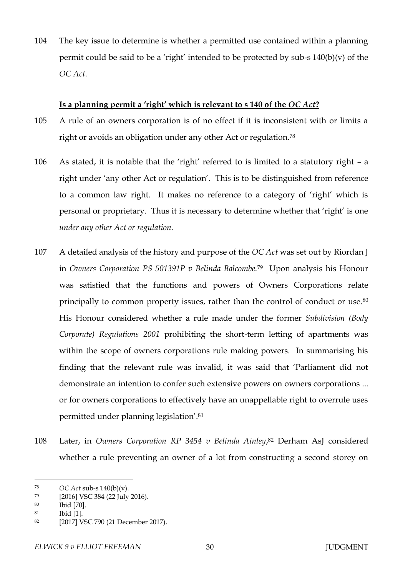104 The key issue to determine is whether a permitted use contained within a planning permit could be said to be a 'right' intended to be protected by sub-s  $140(b)(v)$  of the *OC Act*.

### **Is a planning permit a 'right' which is relevant to s 140 of the** *OC Act***?**

- 105 A rule of an owners corporation is of no effect if it is inconsistent with or limits a right or avoids an obligation under any other Act or regulation.<sup>78</sup>
- 106 As stated, it is notable that the 'right' referred to is limited to a statutory right a right under 'any other Act or regulation'. This is to be distinguished from reference to a common law right. It makes no reference to a category of 'right' which is personal or proprietary. Thus it is necessary to determine whether that 'right' is one *under any other Act or regulation.*
- 107 A detailed analysis of the history and purpose of the *OC Act* was set out by Riordan J in *Owners Corporation PS 501391P v Belinda Balcombe.*79 Upon analysis his Honour was satisfied that the functions and powers of Owners Corporations relate principally to common property issues, rather than the control of conduct or use.<sup>80</sup> His Honour considered whether a rule made under the former *Subdivision (Body Corporate) Regulations 2001* prohibiting the short-term letting of apartments was within the scope of owners corporations rule making powers. In summarising his finding that the relevant rule was invalid, it was said that 'Parliament did not demonstrate an intention to confer such extensive powers on owners corporations ... or for owners corporations to effectively have an unappellable right to overrule uses permitted under planning legislation'.<sup>81</sup>
- 108 Later, in *Owners Corporation RP 3454 v Belinda Ainley*, <sup>82</sup> Derham AsJ considered whether a rule preventing an owner of a lot from constructing a second storey on

<sup>78</sup> *OC Act* sub-s 140(b)(v).

<sup>79</sup> [2016] VSC 384 (22 July 2016).

<sup>80</sup> Ibid [70].

<sup>81</sup> Ibid [1].

<sup>82</sup> [2017] VSC 790 (21 December 2017).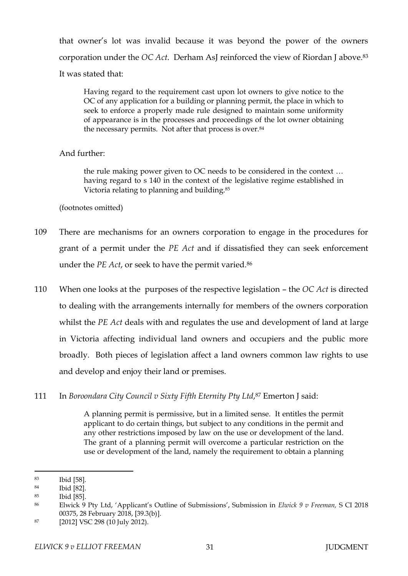that owner's lot was invalid because it was beyond the power of the owners corporation under the *OC Act*. Derham AsJ reinforced the view of Riordan J above.<sup>83</sup> It was stated that:

Having regard to the requirement cast upon lot owners to give notice to the OC of any application for a building or planning permit, the place in which to seek to enforce a properly made rule designed to maintain some uniformity of appearance is in the processes and proceedings of the lot owner obtaining the necessary permits. Not after that process is over.<sup>84</sup>

## And further:

the rule making power given to OC needs to be considered in the context … having regard to s 140 in the context of the legislative regime established in Victoria relating to planning and building.<sup>85</sup>

## (footnotes omitted)

- 109 There are mechanisms for an owners corporation to engage in the procedures for grant of a permit under the *PE Act* and if dissatisfied they can seek enforcement under the *PE Act*, or seek to have the permit varied.<sup>86</sup>
- 110 When one looks at the purposes of the respective legislation the *OC Act* is directed to dealing with the arrangements internally for members of the owners corporation whilst the *PE Act* deals with and regulates the use and development of land at large in Victoria affecting individual land owners and occupiers and the public more broadly. Both pieces of legislation affect a land owners common law rights to use and develop and enjoy their land or premises.
- 111 In *Boroondara City Council v Sixty Fifth Eternity Pty Ltd*, <sup>87</sup> Emerton J said:

A planning permit is permissive, but in a limited sense. It entitles the permit applicant to do certain things, but subject to any conditions in the permit and any other restrictions imposed by law on the use or development of the land. The grant of a planning permit will overcome a particular restriction on the use or development of the land, namely the requirement to obtain a planning

<sup>83</sup> Ibid [58].

<sup>84</sup> Ibid [82].

<sup>85</sup> Ibid [85].

<sup>86</sup> Elwick 9 Pty Ltd, 'Applicant's Outline of Submissions', Submission in *Elwick 9 v Freeman,* S CI 2018 00375, 28 February 2018, [39.3(b)].

<sup>87</sup> [2012] VSC 298 (10 July 2012).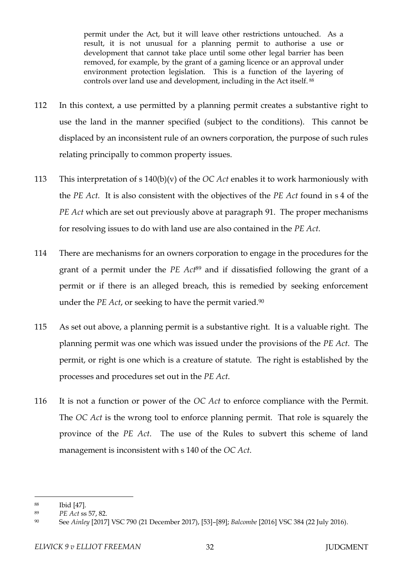permit under the Act, but it will leave other restrictions untouched. As a result, it is not unusual for a planning permit to authorise a use or development that cannot take place until some other legal barrier has been removed, for example, by the grant of a gaming licence or an approval under environment protection legislation. This is a function of the layering of controls over land use and development, including in the Act itself. <sup>88</sup>

- 112 In this context, a use permitted by a planning permit creates a substantive right to use the land in the manner specified (subject to the conditions). This cannot be displaced by an inconsistent rule of an owners corporation, the purpose of such rules relating principally to common property issues.
- 113 This interpretation of s 140(b)(v) of the *OC Act* enables it to work harmoniously with the *PE Act.* It is also consistent with the objectives of the *PE Act* found in s 4 of the *PE Act* which are set out previously above at paragraph 91. The proper mechanisms for resolving issues to do with land use are also contained in the *PE Act*.
- 114 There are mechanisms for an owners corporation to engage in the procedures for the grant of a permit under the *PE Act*<sup>89</sup> and if dissatisfied following the grant of a permit or if there is an alleged breach, this is remedied by seeking enforcement under the *PE Act*, or seeking to have the permit varied.<sup>90</sup>
- 115 As set out above, a planning permit is a substantive right. It is a valuable right. The planning permit was one which was issued under the provisions of the *PE Act*. The permit, or right is one which is a creature of statute. The right is established by the processes and procedures set out in the *PE Act*.
- 116 It is not a function or power of the *OC Act* to enforce compliance with the Permit. The *OC Act* is the wrong tool to enforce planning permit. That role is squarely the province of the *PE Act*. The use of the Rules to subvert this scheme of land management is inconsistent with s 140 of the *OC Act*.

<sup>88</sup> Ibid [47].

<sup>89</sup> *PE Act* ss 57, 82.

<sup>90</sup> See *Ainley* [2017] VSC 790 (21 December 2017), [53]–[89]; *Balcombe* [2016] VSC 384 (22 July 2016).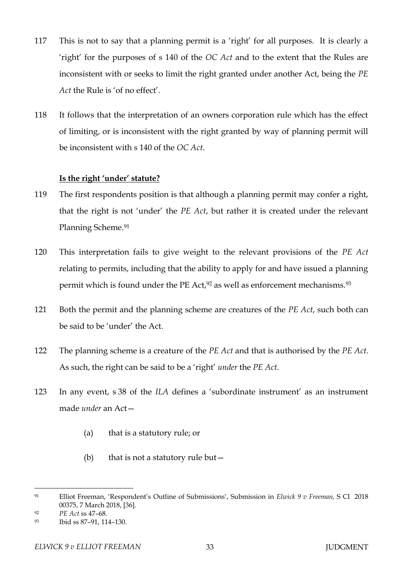- 117 This is not to say that a planning permit is a 'right' for all purposes. It is clearly a 'right' for the purposes of s 140 of the *OC Act* and to the extent that the Rules are inconsistent with or seeks to limit the right granted under another Act, being the *PE Act* the Rule is 'of no effect'.
- 118 It follows that the interpretation of an owners corporation rule which has the effect of limiting, or is inconsistent with the right granted by way of planning permit will be inconsistent with s 140 of the *OC Act*.

### **Is the right 'under' statute?**

- 119 The first respondents position is that although a planning permit may confer a right, that the right is not 'under' the *PE Act*, but rather it is created under the relevant Planning Scheme.<sup>91</sup>
- 120 This interpretation fails to give weight to the relevant provisions of the *PE Act* relating to permits, including that the ability to apply for and have issued a planning permit which is found under the PE Act,<sup>92</sup> as well as enforcement mechanisms.<sup>93</sup>
- 121 Both the permit and the planning scheme are creatures of the *PE Act*, such both can be said to be 'under' the Act.
- 122 The planning scheme is a creature of the *PE Act* and that is authorised by the *PE Act.*  As such, the right can be said to be a 'right' *under* the *PE Act*.
- 123 In any event, s 38 of the *ILA* defines a 'subordinate instrument' as an instrument made *under* an Act—
	- (a) that is a statutory rule; or
	- (b) that is not a statutory rule but  $-$

<sup>91</sup> Elliot Freeman, 'Respondent's Outline of Submissions', Submission in *Elwick 9 v Freeman,* S CI 2018 00375, 7 March 2018, [36].

<sup>92</sup> *PE Act* ss 47–68.

<sup>93</sup> Ibid ss 87–91, 114–130.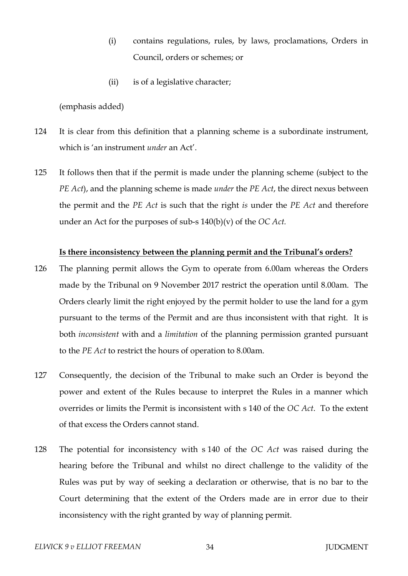- (i) contains regulations, rules, by laws, proclamations, Orders in Council, orders or schemes; or
- (ii) is of a legislative character;

(emphasis added)

- 124 It is clear from this definition that a planning scheme is a subordinate instrument, which is 'an instrument *under* an Act'.
- 125 It follows then that if the permit is made under the planning scheme (subject to the *PE Act*), and the planning scheme is made *under* the *PE Act*, the direct nexus between the permit and the *PE Act* is such that the right *is* under the *PE Act* and therefore under an Act for the purposes of sub-s 140(b)(v) of the *OC Act.*

### **Is there inconsistency between the planning permit and the Tribunal's orders?**

- 126 The planning permit allows the Gym to operate from 6.00am whereas the Orders made by the Tribunal on 9 November 2017 restrict the operation until 8.00am. The Orders clearly limit the right enjoyed by the permit holder to use the land for a gym pursuant to the terms of the Permit and are thus inconsistent with that right. It is both *inconsistent* with and a *limitation* of the planning permission granted pursuant to the *PE Act* to restrict the hours of operation to 8.00am.
- 127 Consequently, the decision of the Tribunal to make such an Order is beyond the power and extent of the Rules because to interpret the Rules in a manner which overrides or limits the Permit is inconsistent with s 140 of the *OC Act*. To the extent of that excess the Orders cannot stand.
- 128 The potential for inconsistency with s 140 of the *OC Act* was raised during the hearing before the Tribunal and whilst no direct challenge to the validity of the Rules was put by way of seeking a declaration or otherwise, that is no bar to the Court determining that the extent of the Orders made are in error due to their inconsistency with the right granted by way of planning permit.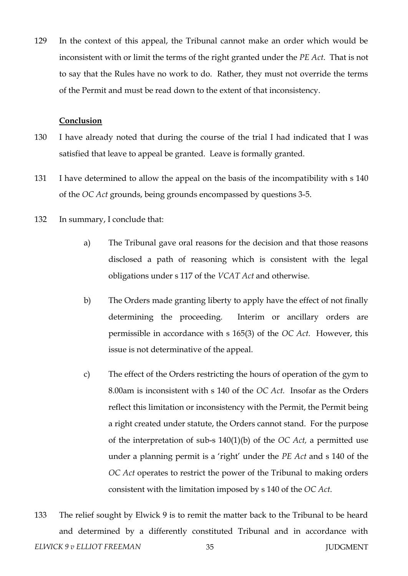129 In the context of this appeal, the Tribunal cannot make an order which would be inconsistent with or limit the terms of the right granted under the *PE Act*. That is not to say that the Rules have no work to do. Rather, they must not override the terms of the Permit and must be read down to the extent of that inconsistency.

#### **Conclusion**

- 130 I have already noted that during the course of the trial I had indicated that I was satisfied that leave to appeal be granted. Leave is formally granted.
- 131 I have determined to allow the appeal on the basis of the incompatibility with s 140 of the *OC Act* grounds, being grounds encompassed by questions 3-5.
- 132 In summary, I conclude that:
	- a) The Tribunal gave oral reasons for the decision and that those reasons disclosed a path of reasoning which is consistent with the legal obligations under s 117 of the *VCAT Act* and otherwise.
	- b) The Orders made granting liberty to apply have the effect of not finally determining the proceeding. Interim or ancillary orders are permissible in accordance with s 165(3) of the *OC Act.* However, this issue is not determinative of the appeal.
	- c) The effect of the Orders restricting the hours of operation of the gym to 8.00am is inconsistent with s 140 of the *OC Act.* Insofar as the Orders reflect this limitation or inconsistency with the Permit, the Permit being a right created under statute, the Orders cannot stand. For the purpose of the interpretation of sub-s 140(1)(b) of the *OC Act,* a permitted use under a planning permit is a 'right' under the *PE Act* and s 140 of the *OC Act* operates to restrict the power of the Tribunal to making orders consistent with the limitation imposed by s 140 of the *OC Act*.
- **ELWICK 9 v ELLIOT FREEMAN** 35 **JUDGMENT** 133 The relief sought by Elwick 9 is to remit the matter back to the Tribunal to be heard and determined by a differently constituted Tribunal and in accordance with